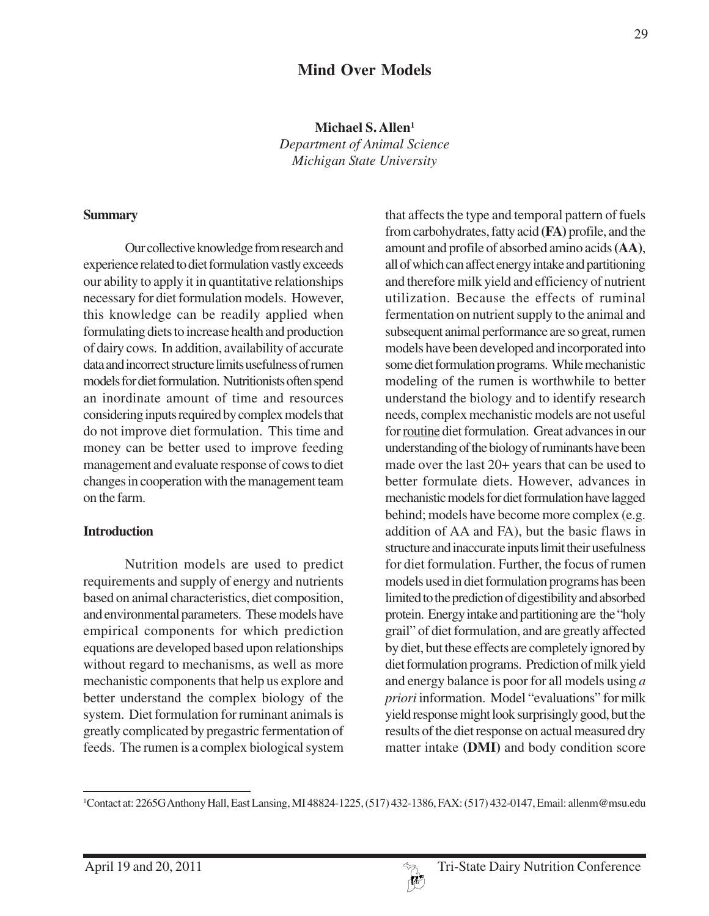# **Mind Over Models**

**Michael S. Allen1**

*Department of Animal Science Michigan State University*

#### **Summary**

Our collective knowledge from research and experience related to diet formulation vastly exceeds our ability to apply it in quantitative relationships necessary for diet formulation models. However, this knowledge can be readily applied when formulating diets to increase health and production of dairy cows. In addition, availability of accurate data and incorrect structure limits usefulness of rumen models for diet formulation. Nutritionists often spend an inordinate amount of time and resources considering inputs required by complex models that do not improve diet formulation. This time and money can be better used to improve feeding management and evaluate response of cows to diet changes in cooperation with the management team on the farm.

### **Introduction**

Nutrition models are used to predict requirements and supply of energy and nutrients based on animal characteristics, diet composition, and environmental parameters. These models have empirical components for which prediction equations are developed based upon relationships without regard to mechanisms, as well as more mechanistic components that help us explore and better understand the complex biology of the system. Diet formulation for ruminant animals is greatly complicated by pregastric fermentation of feeds. The rumen is a complex biological system

that affects the type and temporal pattern of fuels from carbohydrates, fatty acid **(FA)** profile, and the amount and profile of absorbed amino acids **(AA)**, all of which can affect energy intake and partitioning and therefore milk yield and efficiency of nutrient utilization. Because the effects of ruminal fermentation on nutrient supply to the animal and subsequent animal performance are so great, rumen models have been developed and incorporated into some diet formulation programs. While mechanistic modeling of the rumen is worthwhile to better understand the biology and to identify research needs, complex mechanistic models are not useful for routine diet formulation. Great advances in our understanding of the biology of ruminants have been made over the last 20+ years that can be used to better formulate diets. However, advances in mechanistic models for diet formulation have lagged behind; models have become more complex (e.g. addition of AA and FA), but the basic flaws in structure and inaccurate inputs limit their usefulness for diet formulation. Further, the focus of rumen models used in diet formulation programs has been limited to the prediction of digestibility and absorbed protein. Energy intake and partitioning are the "holy grail" of diet formulation, and are greatly affected by diet, but these effects are completely ignored by diet formulation programs. Prediction of milk yield and energy balance is poor for all models using *a priori* information. Model "evaluations" for milk yield response might look surprisingly good, but the results of the diet response on actual measured dry matter intake **(DMI)** and body condition score



<sup>1</sup> Contact at: 2265G Anthony Hall, East Lansing, MI 48824-1225, (517) 432-1386, FAX: (517) 432-0147, Email: allenm@msu.edu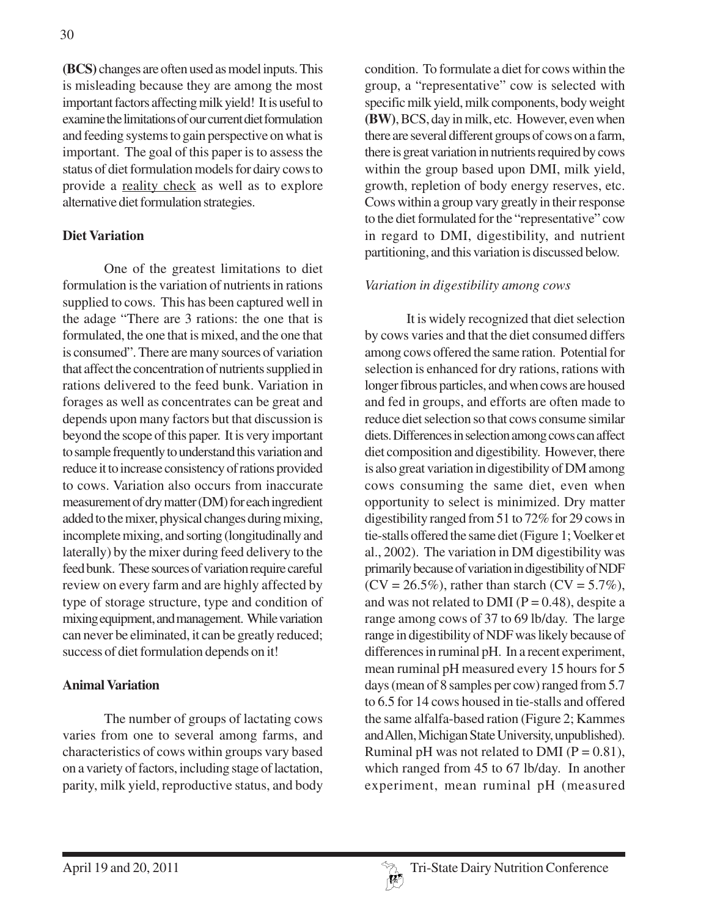**(BCS)** changes are often used as model inputs. This is misleading because they are among the most important factors affecting milk yield! It is useful to examine the limitations of our current diet formulation and feeding systems to gain perspective on what is important. The goal of this paper is to assess the status of diet formulation models for dairy cows to provide a reality check as well as to explore alternative diet formulation strategies.

### **Diet Variation**

One of the greatest limitations to diet formulation is the variation of nutrients in rations supplied to cows. This has been captured well in the adage "There are 3 rations: the one that is formulated, the one that is mixed, and the one that is consumed". There are many sources of variation that affect the concentration of nutrients supplied in rations delivered to the feed bunk. Variation in forages as well as concentrates can be great and depends upon many factors but that discussion is beyond the scope of this paper. It is very important to sample frequently to understand this variation and reduce it to increase consistency of rations provided to cows. Variation also occurs from inaccurate measurement of dry matter (DM) for each ingredient added to the mixer, physical changes during mixing, incomplete mixing, and sorting (longitudinally and laterally) by the mixer during feed delivery to the feed bunk. These sources of variation require careful review on every farm and are highly affected by type of storage structure, type and condition of mixing equipment, and management. While variation can never be eliminated, it can be greatly reduced; success of diet formulation depends on it!

### **Animal Variation**

The number of groups of lactating cows varies from one to several among farms, and characteristics of cows within groups vary based on a variety of factors, including stage of lactation, parity, milk yield, reproductive status, and body condition. To formulate a diet for cows within the group, a "representative" cow is selected with specific milk yield, milk components, body weight **(BW)**, BCS, day in milk, etc. However, even when there are several different groups of cows on a farm, there is great variation in nutrients required by cows within the group based upon DMI, milk yield, growth, repletion of body energy reserves, etc. Cows within a group vary greatly in their response to the diet formulated for the "representative" cow in regard to DMI, digestibility, and nutrient partitioning, and this variation is discussed below.

### *Variation in digestibility among cows*

It is widely recognized that diet selection by cows varies and that the diet consumed differs among cows offered the same ration. Potential for selection is enhanced for dry rations, rations with longer fibrous particles, and when cows are housed and fed in groups, and efforts are often made to reduce diet selection so that cows consume similar diets. Differences in selection among cows can affect diet composition and digestibility. However, there is also great variation in digestibility of DM among cows consuming the same diet, even when opportunity to select is minimized. Dry matter digestibility ranged from 51 to 72% for 29 cows in tie-stalls offered the same diet (Figure 1; Voelker et al., 2002). The variation in DM digestibility was primarily because of variation in digestibility of NDF  $(CV = 26.5\%)$ , rather than starch  $(CV = 5.7\%).$ and was not related to DMI ( $P = 0.48$ ), despite a range among cows of 37 to 69 lb/day. The large range in digestibility of NDF was likely because of differences in ruminal pH. In a recent experiment, mean ruminal pH measured every 15 hours for 5 days (mean of 8 samples per cow) ranged from 5.7 to 6.5 for 14 cows housed in tie-stalls and offered the same alfalfa-based ration (Figure 2; Kammes and Allen, Michigan State University, unpublished). Ruminal pH was not related to DMI ( $P = 0.81$ ), which ranged from 45 to 67 lb/day. In another experiment, mean ruminal pH (measured

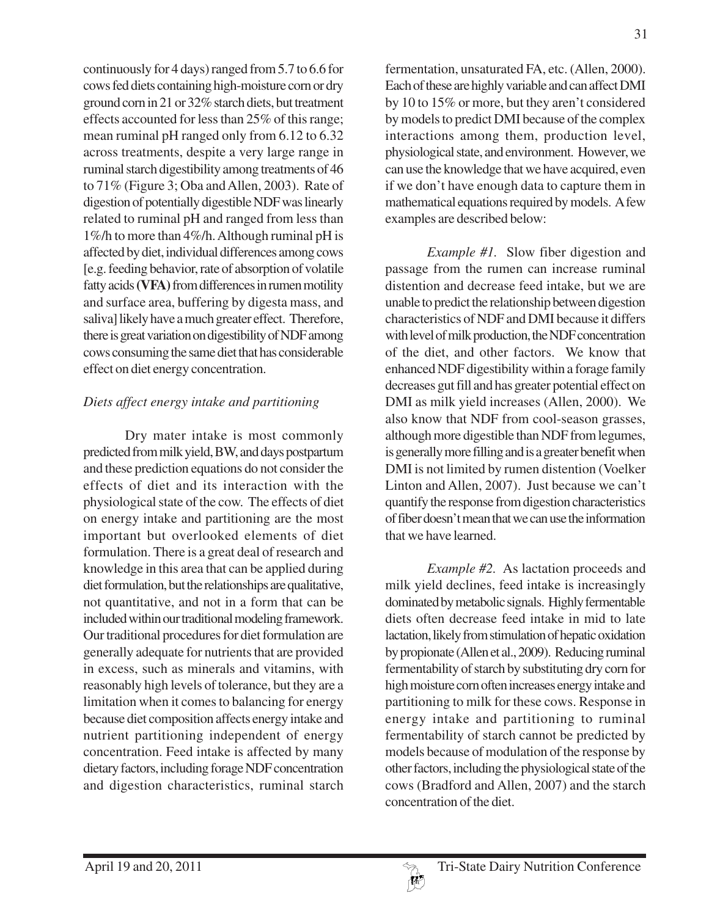continuously for 4 days) ranged from 5.7 to 6.6 for cows fed diets containing high-moisture corn or dry ground corn in 21 or 32% starch diets, but treatment effects accounted for less than 25% of this range; mean ruminal pH ranged only from 6.12 to 6.32 across treatments, despite a very large range in ruminal starch digestibility among treatments of 46 to 71% (Figure 3; Oba and Allen, 2003). Rate of digestion of potentially digestible NDF was linearly related to ruminal pH and ranged from less than 1%/h to more than 4%/h. Although ruminal pH is affected by diet, individual differences among cows [e.g. feeding behavior, rate of absorption of volatile fatty acids **(VFA)** from differences in rumen motility and surface area, buffering by digesta mass, and saliva] likely have a much greater effect. Therefore, there is great variation on digestibility of NDF among cows consuming the same diet that has considerable effect on diet energy concentration.

### *Diets affect energy intake and partitioning*

Dry mater intake is most commonly predicted from milk yield, BW, and days postpartum and these prediction equations do not consider the effects of diet and its interaction with the physiological state of the cow. The effects of diet on energy intake and partitioning are the most important but overlooked elements of diet formulation. There is a great deal of research and knowledge in this area that can be applied during diet formulation, but the relationships are qualitative, not quantitative, and not in a form that can be included within our traditional modeling framework. Our traditional procedures for diet formulation are generally adequate for nutrients that are provided in excess, such as minerals and vitamins, with reasonably high levels of tolerance, but they are a limitation when it comes to balancing for energy because diet composition affects energy intake and nutrient partitioning independent of energy concentration. Feed intake is affected by many dietary factors, including forage NDF concentration and digestion characteristics, ruminal starch

fermentation, unsaturated FA, etc. (Allen, 2000). Each of these are highly variable and can affect DMI by 10 to 15% or more, but they aren't considered by models to predict DMI because of the complex interactions among them, production level, physiological state, and environment. However, we can use the knowledge that we have acquired, even if we don't have enough data to capture them in mathematical equations required by models. A few examples are described below:

*Example #1.* Slow fiber digestion and passage from the rumen can increase ruminal distention and decrease feed intake, but we are unable to predict the relationship between digestion characteristics of NDF and DMI because it differs with level of milk production, the NDF concentration of the diet, and other factors. We know that enhanced NDF digestibility within a forage family decreases gut fill and has greater potential effect on DMI as milk yield increases (Allen, 2000). We also know that NDF from cool-season grasses, although more digestible than NDF from legumes, is generally more filling and is a greater benefit when DMI is not limited by rumen distention (Voelker Linton and Allen, 2007). Just because we can't quantify the response from digestion characteristics of fiber doesn't mean that we can use the information that we have learned.

*Example #2.* As lactation proceeds and milk yield declines, feed intake is increasingly dominated by metabolic signals. Highly fermentable diets often decrease feed intake in mid to late lactation, likely from stimulation of hepatic oxidation by propionate (Allen et al., 2009). Reducing ruminal fermentability of starch by substituting dry corn for high moisture corn often increases energy intake and partitioning to milk for these cows. Response in energy intake and partitioning to ruminal fermentability of starch cannot be predicted by models because of modulation of the response by other factors, including the physiological state of the cows (Bradford and Allen, 2007) and the starch concentration of the diet.

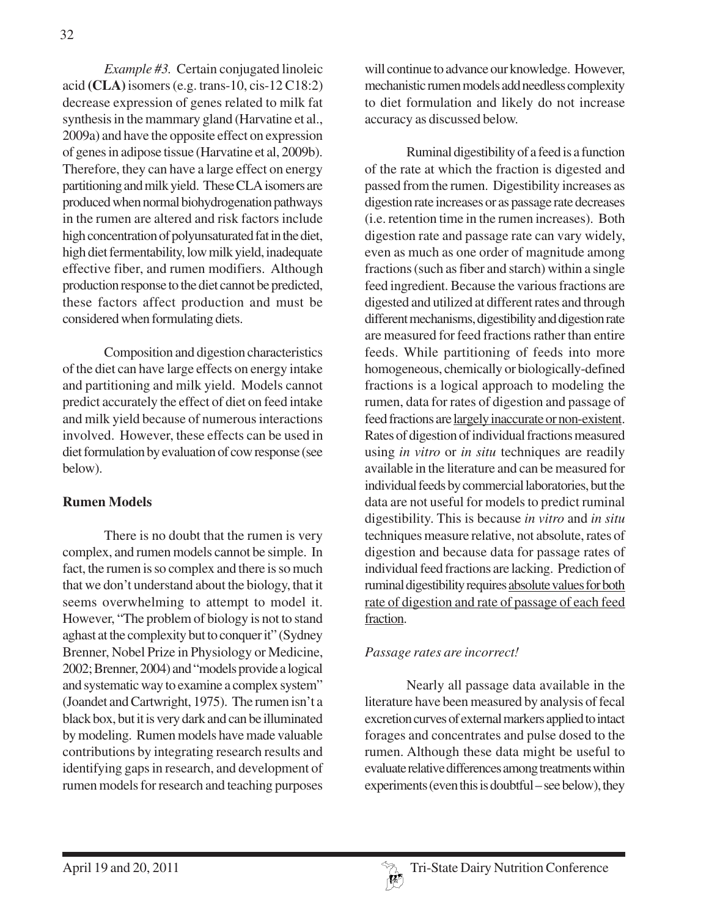*Example #3.* Certain conjugated linoleic acid **(CLA)** isomers (e.g. trans-10, cis-12 C18:2) decrease expression of genes related to milk fat synthesis in the mammary gland (Harvatine et al., 2009a) and have the opposite effect on expression of genes in adipose tissue (Harvatine et al, 2009b). Therefore, they can have a large effect on energy partitioning and milk yield. These CLA isomers are produced when normal biohydrogenation pathways in the rumen are altered and risk factors include high concentration of polyunsaturated fat in the diet, high diet fermentability, low milk yield, inadequate effective fiber, and rumen modifiers. Although production response to the diet cannot be predicted, these factors affect production and must be considered when formulating diets.

Composition and digestion characteristics of the diet can have large effects on energy intake and partitioning and milk yield. Models cannot predict accurately the effect of diet on feed intake and milk yield because of numerous interactions involved. However, these effects can be used in diet formulation by evaluation of cow response (see below).

### **Rumen Models**

There is no doubt that the rumen is very complex, and rumen models cannot be simple. In fact, the rumen is so complex and there is so much that we don't understand about the biology, that it seems overwhelming to attempt to model it. However, "The problem of biology is not to stand aghast at the complexity but to conquer it" (Sydney Brenner, Nobel Prize in Physiology or Medicine, 2002; Brenner, 2004) and "models provide a logical and systematic way to examine a complex system" (Joandet and Cartwright, 1975). The rumen isn't a black box, but it is very dark and can be illuminated by modeling. Rumen models have made valuable contributions by integrating research results and identifying gaps in research, and development of rumen models for research and teaching purposes

will continue to advance our knowledge. However, mechanistic rumen models add needless complexity to diet formulation and likely do not increase accuracy as discussed below.

Ruminal digestibility of a feed is a function of the rate at which the fraction is digested and passed from the rumen. Digestibility increases as digestion rate increases or as passage rate decreases (i.e. retention time in the rumen increases). Both digestion rate and passage rate can vary widely, even as much as one order of magnitude among fractions (such as fiber and starch) within a single feed ingredient. Because the various fractions are digested and utilized at different rates and through different mechanisms, digestibility and digestion rate are measured for feed fractions rather than entire feeds. While partitioning of feeds into more homogeneous, chemically or biologically-defined fractions is a logical approach to modeling the rumen, data for rates of digestion and passage of feed fractions are largely inaccurate or non-existent. Rates of digestion of individual fractions measured using *in vitro* or *in situ* techniques are readily available in the literature and can be measured for individual feeds by commercial laboratories, but the data are not useful for models to predict ruminal digestibility. This is because *in vitro* and *in situ* techniques measure relative, not absolute, rates of digestion and because data for passage rates of individual feed fractions are lacking. Prediction of ruminal digestibility requires absolute values for both rate of digestion and rate of passage of each feed fraction.

### *Passage rates are incorrect!*

Nearly all passage data available in the literature have been measured by analysis of fecal excretion curves of external markers applied to intact forages and concentrates and pulse dosed to the rumen. Although these data might be useful to evaluate relative differences among treatments within experiments (even this is doubtful – see below), they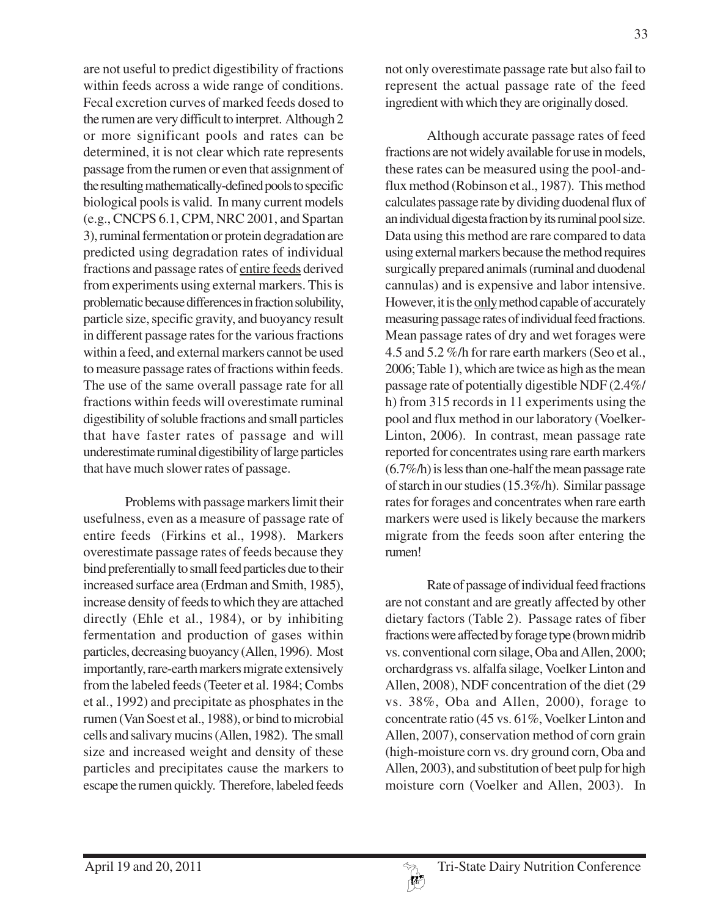are not useful to predict digestibility of fractions within feeds across a wide range of conditions. Fecal excretion curves of marked feeds dosed to the rumen are very difficult to interpret. Although 2 or more significant pools and rates can be determined, it is not clear which rate represents passage from the rumen or even that assignment of the resulting mathematically-defined pools to specific biological pools is valid. In many current models (e.g., CNCPS 6.1, CPM, NRC 2001, and Spartan 3), ruminal fermentation or protein degradation are predicted using degradation rates of individual fractions and passage rates of entire feeds derived from experiments using external markers. This is problematic because differences in fraction solubility, particle size, specific gravity, and buoyancy result in different passage rates for the various fractions within a feed, and external markers cannot be used to measure passage rates of fractions within feeds. The use of the same overall passage rate for all fractions within feeds will overestimate ruminal digestibility of soluble fractions and small particles that have faster rates of passage and will underestimate ruminal digestibility of large particles that have much slower rates of passage.

Problems with passage markers limit their usefulness, even as a measure of passage rate of entire feeds (Firkins et al., 1998). Markers overestimate passage rates of feeds because they bind preferentially to small feed particles due to their increased surface area (Erdman and Smith, 1985), increase density of feeds to which they are attached directly (Ehle et al., 1984), or by inhibiting fermentation and production of gases within particles, decreasing buoyancy (Allen, 1996). Most importantly, rare-earth markers migrate extensively from the labeled feeds (Teeter et al. 1984; Combs et al., 1992) and precipitate as phosphates in the rumen (Van Soest et al., 1988), or bind to microbial cells and salivary mucins (Allen, 1982). The small size and increased weight and density of these particles and precipitates cause the markers to escape the rumen quickly. Therefore, labeled feeds

not only overestimate passage rate but also fail to represent the actual passage rate of the feed ingredient with which they are originally dosed.

Although accurate passage rates of feed fractions are not widely available for use in models, these rates can be measured using the pool-andflux method (Robinson et al., 1987). This method calculates passage rate by dividing duodenal flux of an individual digesta fraction by its ruminal pool size. Data using this method are rare compared to data using external markers because the method requires surgically prepared animals (ruminal and duodenal cannulas) and is expensive and labor intensive. However, it is the only method capable of accurately measuring passage rates of individual feed fractions. Mean passage rates of dry and wet forages were 4.5 and 5.2 %/h for rare earth markers (Seo et al., 2006; Table 1), which are twice as high as the mean passage rate of potentially digestible NDF (2.4%/ h) from 315 records in 11 experiments using the pool and flux method in our laboratory (Voelker-Linton, 2006). In contrast, mean passage rate reported for concentrates using rare earth markers (6.7%/h) is less than one-half the mean passage rate of starch in our studies (15.3%/h). Similar passage rates for forages and concentrates when rare earth markers were used is likely because the markers migrate from the feeds soon after entering the rumen!

Rate of passage of individual feed fractions are not constant and are greatly affected by other dietary factors (Table 2). Passage rates of fiber fractions were affected by forage type (brown midrib vs. conventional corn silage, Oba and Allen, 2000; orchardgrass vs. alfalfa silage, Voelker Linton and Allen, 2008), NDF concentration of the diet (29 vs. 38%, Oba and Allen, 2000), forage to concentrate ratio (45 vs. 61%, Voelker Linton and Allen, 2007), conservation method of corn grain (high-moisture corn vs. dry ground corn, Oba and Allen, 2003), and substitution of beet pulp for high moisture corn (Voelker and Allen, 2003). In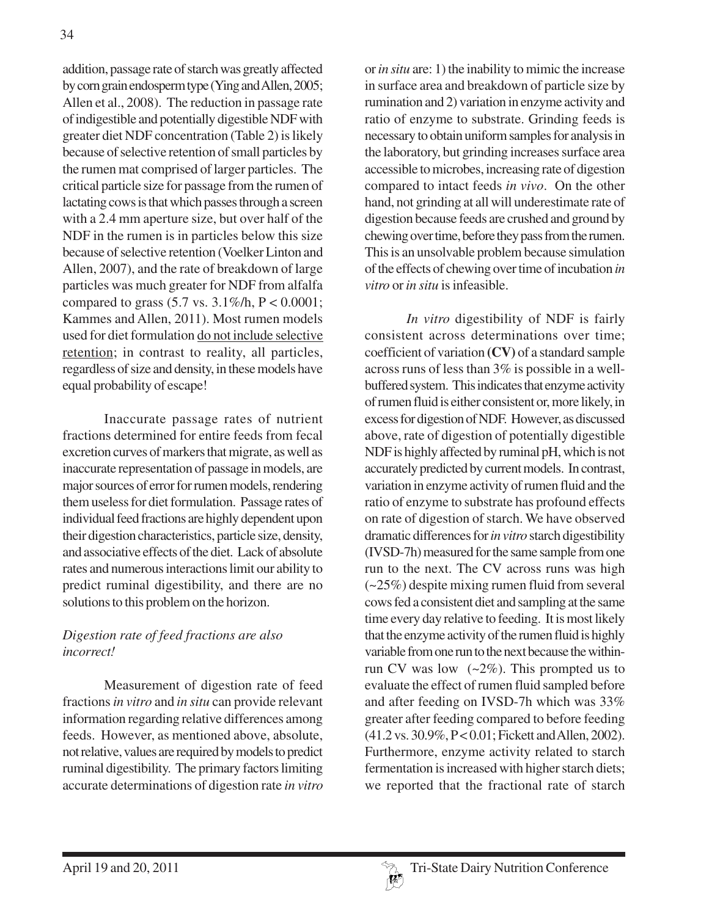addition, passage rate of starch was greatly affected by corn grain endosperm type (Ying and Allen, 2005; Allen et al., 2008). The reduction in passage rate of indigestible and potentially digestible NDF with greater diet NDF concentration (Table 2) is likely because of selective retention of small particles by the rumen mat comprised of larger particles. The critical particle size for passage from the rumen of lactating cows is that which passes through a screen with a 2.4 mm aperture size, but over half of the NDF in the rumen is in particles below this size because of selective retention (Voelker Linton and Allen, 2007), and the rate of breakdown of large particles was much greater for NDF from alfalfa compared to grass  $(5.7 \text{ vs. } 3.1\%/h, P < 0.0001;$ Kammes and Allen, 2011). Most rumen models used for diet formulation do not include selective retention; in contrast to reality, all particles, regardless of size and density, in these models have equal probability of escape!

Inaccurate passage rates of nutrient fractions determined for entire feeds from fecal excretion curves of markers that migrate, as well as inaccurate representation of passage in models, are major sources of error for rumen models, rendering them useless for diet formulation. Passage rates of individual feed fractions are highly dependent upon their digestion characteristics, particle size, density, and associative effects of the diet. Lack of absolute rates and numerous interactions limit our ability to predict ruminal digestibility, and there are no solutions to this problem on the horizon.

# *Digestion rate of feed fractions are also incorrect!*

Measurement of digestion rate of feed fractions *in vitro* and *in situ* can provide relevant information regarding relative differences among feeds. However, as mentioned above, absolute, not relative, values are required by models to predict ruminal digestibility. The primary factors limiting accurate determinations of digestion rate *in vitro* or *in situ* are: 1) the inability to mimic the increase in surface area and breakdown of particle size by rumination and 2) variation in enzyme activity and ratio of enzyme to substrate. Grinding feeds is necessary to obtain uniform samples for analysis in the laboratory, but grinding increases surface area accessible to microbes, increasing rate of digestion compared to intact feeds *in vivo*. On the other hand, not grinding at all will underestimate rate of digestion because feeds are crushed and ground by chewing over time, before they pass from the rumen. This is an unsolvable problem because simulation of the effects of chewing over time of incubation *in vitro* or *in situ* is infeasible.

*In vitro* digestibility of NDF is fairly consistent across determinations over time; coefficient of variation **(CV)** of a standard sample across runs of less than 3% is possible in a wellbuffered system. This indicates that enzyme activity of rumen fluid is either consistent or, more likely, in excess for digestion of NDF. However, as discussed above, rate of digestion of potentially digestible NDF is highly affected by ruminal pH, which is not accurately predicted by current models. In contrast, variation in enzyme activity of rumen fluid and the ratio of enzyme to substrate has profound effects on rate of digestion of starch. We have observed dramatic differences for *in vitro* starch digestibility (IVSD-7h) measured for the same sample from one run to the next. The CV across runs was high (~25%) despite mixing rumen fluid from several cows fed a consistent diet and sampling at the same time every day relative to feeding. It is most likely that the enzyme activity of the rumen fluid is highly variable from one run to the next because the withinrun CV was low  $(-2\%)$ . This prompted us to evaluate the effect of rumen fluid sampled before and after feeding on IVSD-7h which was 33% greater after feeding compared to before feeding (41.2 vs. 30.9%, P < 0.01; Fickett and Allen, 2002). Furthermore, enzyme activity related to starch fermentation is increased with higher starch diets; we reported that the fractional rate of starch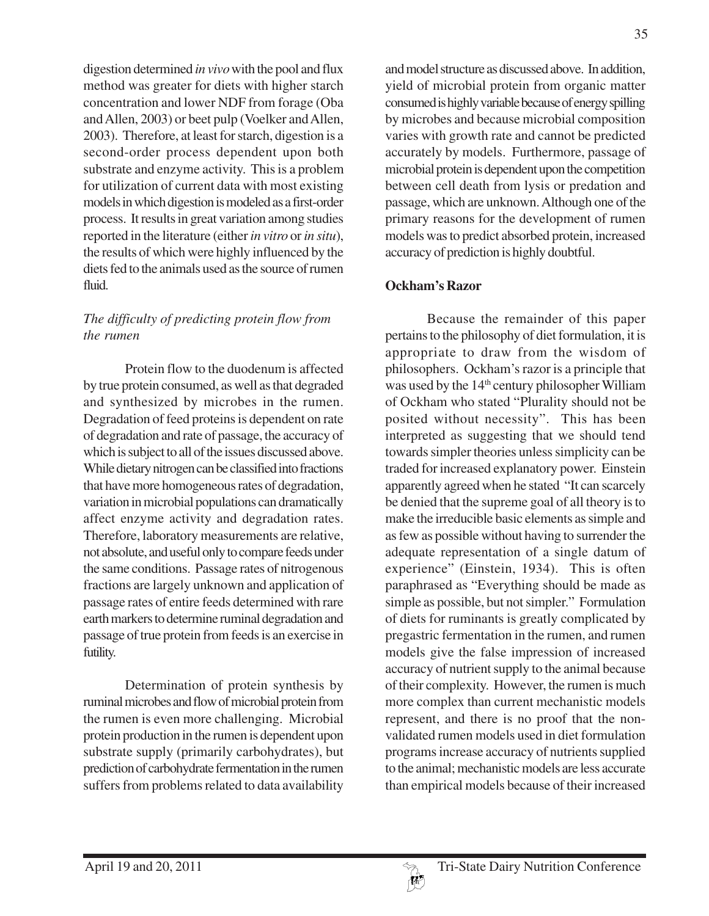digestion determined *in vivo* with the pool and flux method was greater for diets with higher starch concentration and lower NDF from forage (Oba and Allen, 2003) or beet pulp (Voelker and Allen, 2003). Therefore, at least for starch, digestion is a second-order process dependent upon both substrate and enzyme activity. This is a problem for utilization of current data with most existing models in which digestion is modeled as a first-order process. It results in great variation among studies reported in the literature (either *in vitro* or *in situ*), the results of which were highly influenced by the diets fed to the animals used as the source of rumen fluid.

# *The difficulty of predicting protein flow from the rumen*

Protein flow to the duodenum is affected by true protein consumed, as well as that degraded and synthesized by microbes in the rumen. Degradation of feed proteins is dependent on rate of degradation and rate of passage, the accuracy of which is subject to all of the issues discussed above. While dietary nitrogen can be classified into fractions that have more homogeneous rates of degradation, variation in microbial populations can dramatically affect enzyme activity and degradation rates. Therefore, laboratory measurements are relative, not absolute, and useful only to compare feeds under the same conditions. Passage rates of nitrogenous fractions are largely unknown and application of passage rates of entire feeds determined with rare earth markers to determine ruminal degradation and passage of true protein from feeds is an exercise in futility.

Determination of protein synthesis by ruminal microbes and flow of microbial protein from the rumen is even more challenging. Microbial protein production in the rumen is dependent upon substrate supply (primarily carbohydrates), but prediction of carbohydrate fermentation in the rumen suffers from problems related to data availability

and model structure as discussed above. In addition, yield of microbial protein from organic matter consumed is highly variable because of energy spilling by microbes and because microbial composition varies with growth rate and cannot be predicted accurately by models. Furthermore, passage of microbial protein is dependent upon the competition between cell death from lysis or predation and passage, which are unknown. Although one of the primary reasons for the development of rumen models was to predict absorbed protein, increased accuracy of prediction is highly doubtful.

# **Ockham's Razor**

Because the remainder of this paper pertains to the philosophy of diet formulation, it is appropriate to draw from the wisdom of philosophers. Ockham's razor is a principle that was used by the 14<sup>th</sup> century philosopher William of Ockham who stated "Plurality should not be posited without necessity". This has been interpreted as suggesting that we should tend towards simpler theories unless simplicity can be traded for increased explanatory power. Einstein apparently agreed when he stated "It can scarcely be denied that the supreme goal of all theory is to make the irreducible basic elements as simple and as few as possible without having to surrender the adequate representation of a single datum of experience" (Einstein, 1934). This is often paraphrased as "Everything should be made as simple as possible, but not simpler." Formulation of diets for ruminants is greatly complicated by pregastric fermentation in the rumen, and rumen models give the false impression of increased accuracy of nutrient supply to the animal because of their complexity. However, the rumen is much more complex than current mechanistic models represent, and there is no proof that the nonvalidated rumen models used in diet formulation programs increase accuracy of nutrients supplied to the animal; mechanistic models are less accurate than empirical models because of their increased

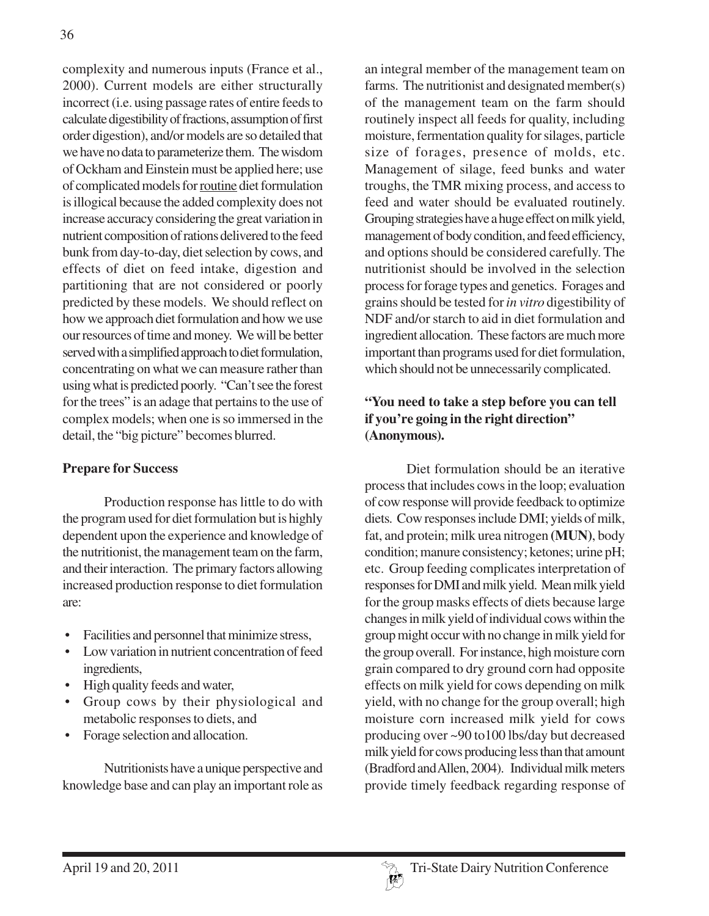complexity and numerous inputs (France et al., 2000). Current models are either structurally incorrect (i.e. using passage rates of entire feeds to calculate digestibility of fractions, assumption of first order digestion), and/or models are so detailed that we have no data to parameterize them. The wisdom of Ockham and Einstein must be applied here; use of complicated models for routine diet formulation is illogical because the added complexity does not increase accuracy considering the great variation in nutrient composition of rations delivered to the feed bunk from day-to-day, diet selection by cows, and effects of diet on feed intake, digestion and partitioning that are not considered or poorly predicted by these models. We should reflect on how we approach diet formulation and how we use our resources of time and money. We will be better served with a simplified approach to diet formulation, concentrating on what we can measure rather than using what is predicted poorly. "Can't see the forest for the trees" is an adage that pertains to the use of complex models; when one is so immersed in the detail, the "big picture" becomes blurred.

### **Prepare for Success**

Production response has little to do with the program used for diet formulation but is highly dependent upon the experience and knowledge of the nutritionist, the management team on the farm, and their interaction. The primary factors allowing increased production response to diet formulation are:

- Facilities and personnel that minimize stress,
- Low variation in nutrient concentration of feed ingredients,
- High quality feeds and water,
- Group cows by their physiological and metabolic responses to diets, and
- Forage selection and allocation.

Nutritionists have a unique perspective and knowledge base and can play an important role as an integral member of the management team on farms. The nutritionist and designated member(s) of the management team on the farm should routinely inspect all feeds for quality, including moisture, fermentation quality for silages, particle size of forages, presence of molds, etc. Management of silage, feed bunks and water troughs, the TMR mixing process, and access to feed and water should be evaluated routinely. Grouping strategies have a huge effect on milk yield, management of body condition, and feed efficiency, and options should be considered carefully. The nutritionist should be involved in the selection process for forage types and genetics. Forages and grains should be tested for *in vitro* digestibility of NDF and/or starch to aid in diet formulation and ingredient allocation. These factors are much more important than programs used for diet formulation, which should not be unnecessarily complicated.

# **"You need to take a step before you can tell if you're going in the right direction" (Anonymous).**

Diet formulation should be an iterative process that includes cows in the loop; evaluation of cow response will provide feedback to optimize diets. Cow responses include DMI; yields of milk, fat, and protein; milk urea nitrogen **(MUN)**, body condition; manure consistency; ketones; urine pH; etc. Group feeding complicates interpretation of responses for DMI and milk yield. Mean milk yield for the group masks effects of diets because large changes in milk yield of individual cows within the group might occur with no change in milk yield for the group overall. For instance, high moisture corn grain compared to dry ground corn had opposite effects on milk yield for cows depending on milk yield, with no change for the group overall; high moisture corn increased milk yield for cows producing over ~90 to100 lbs/day but decreased milk yield for cows producing less than that amount (Bradford and Allen, 2004). Individual milk meters provide timely feedback regarding response of

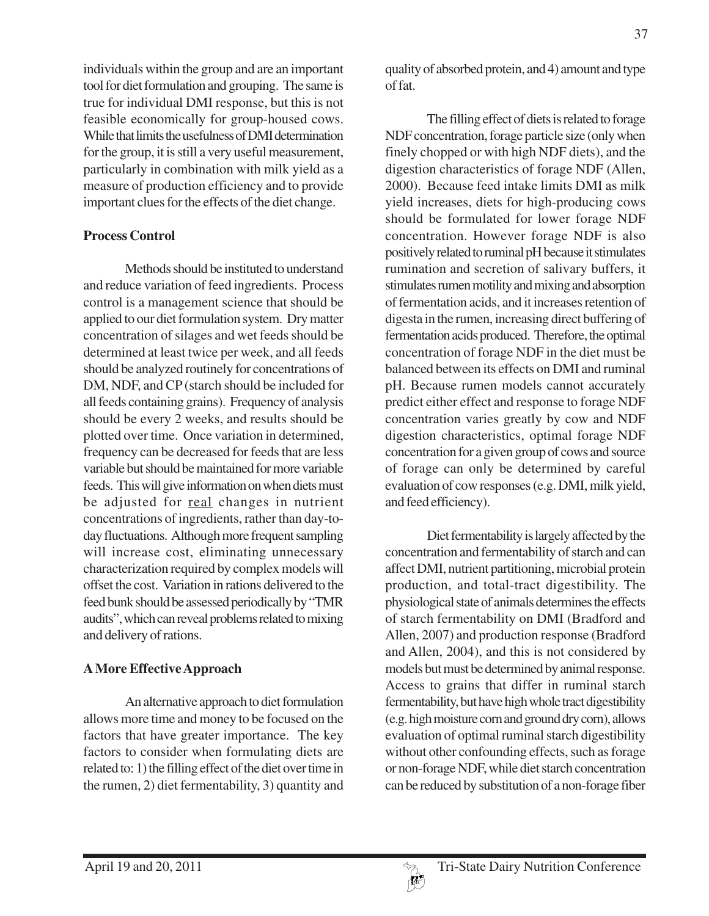individuals within the group and are an important tool for diet formulation and grouping. The same is true for individual DMI response, but this is not feasible economically for group-housed cows. While that limits the usefulness of DMI determination for the group, it is still a very useful measurement, particularly in combination with milk yield as a measure of production efficiency and to provide important clues for the effects of the diet change.

### **Process Control**

Methods should be instituted to understand and reduce variation of feed ingredients. Process control is a management science that should be applied to our diet formulation system. Dry matter concentration of silages and wet feeds should be determined at least twice per week, and all feeds should be analyzed routinely for concentrations of DM, NDF, and CP (starch should be included for all feeds containing grains). Frequency of analysis should be every 2 weeks, and results should be plotted over time. Once variation in determined, frequency can be decreased for feeds that are less variable but should be maintained for more variable feeds. This will give information on when diets must be adjusted for real changes in nutrient concentrations of ingredients, rather than day-today fluctuations. Although more frequent sampling will increase cost, eliminating unnecessary characterization required by complex models will offset the cost. Variation in rations delivered to the feed bunk should be assessed periodically by "TMR audits", which can reveal problems related to mixing and delivery of rations.

### **A More Effective Approach**

An alternative approach to diet formulation allows more time and money to be focused on the factors that have greater importance. The key factors to consider when formulating diets are related to: 1) the filling effect of the diet over time in the rumen, 2) diet fermentability, 3) quantity and quality of absorbed protein, and 4) amount and type of fat.

The filling effect of diets is related to forage NDF concentration, forage particle size (only when finely chopped or with high NDF diets), and the digestion characteristics of forage NDF (Allen, 2000). Because feed intake limits DMI as milk yield increases, diets for high-producing cows should be formulated for lower forage NDF concentration. However forage NDF is also positively related to ruminal pH because it stimulates rumination and secretion of salivary buffers, it stimulates rumen motility and mixing and absorption of fermentation acids, and it increases retention of digesta in the rumen, increasing direct buffering of fermentation acids produced. Therefore, the optimal concentration of forage NDF in the diet must be balanced between its effects on DMI and ruminal pH. Because rumen models cannot accurately predict either effect and response to forage NDF concentration varies greatly by cow and NDF digestion characteristics, optimal forage NDF concentration for a given group of cows and source of forage can only be determined by careful evaluation of cow responses (e.g. DMI, milk yield, and feed efficiency).

Diet fermentability is largely affected by the concentration and fermentability of starch and can affect DMI, nutrient partitioning, microbial protein production, and total-tract digestibility. The physiological state of animals determines the effects of starch fermentability on DMI (Bradford and Allen, 2007) and production response (Bradford and Allen, 2004), and this is not considered by models but must be determined by animal response. Access to grains that differ in ruminal starch fermentability, but have high whole tract digestibility (e.g. high moisture corn and ground dry corn), allows evaluation of optimal ruminal starch digestibility without other confounding effects, such as forage or non-forage NDF, while diet starch concentration can be reduced by substitution of a non-forage fiber

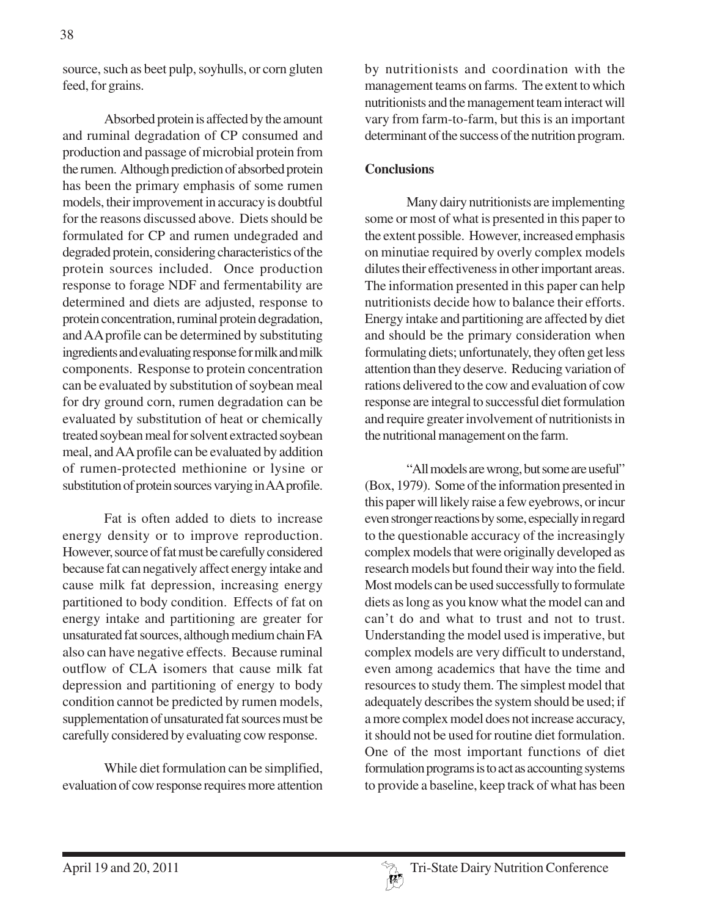source, such as beet pulp, soyhulls, or corn gluten feed, for grains.

Absorbed protein is affected by the amount and ruminal degradation of CP consumed and production and passage of microbial protein from the rumen. Although prediction of absorbed protein has been the primary emphasis of some rumen models, their improvement in accuracy is doubtful for the reasons discussed above. Diets should be formulated for CP and rumen undegraded and degraded protein, considering characteristics of the protein sources included. Once production response to forage NDF and fermentability are determined and diets are adjusted, response to protein concentration, ruminal protein degradation, and AA profile can be determined by substituting ingredients and evaluating response for milk and milk components. Response to protein concentration can be evaluated by substitution of soybean meal for dry ground corn, rumen degradation can be evaluated by substitution of heat or chemically treated soybean meal for solvent extracted soybean meal, and AA profile can be evaluated by addition of rumen-protected methionine or lysine or substitution of protein sources varying in AA profile.

Fat is often added to diets to increase energy density or to improve reproduction. However, source of fat must be carefully considered because fat can negatively affect energy intake and cause milk fat depression, increasing energy partitioned to body condition. Effects of fat on energy intake and partitioning are greater for unsaturated fat sources, although medium chain FA also can have negative effects. Because ruminal outflow of CLA isomers that cause milk fat depression and partitioning of energy to body condition cannot be predicted by rumen models, supplementation of unsaturated fat sources must be carefully considered by evaluating cow response.

While diet formulation can be simplified, evaluation of cow response requires more attention by nutritionists and coordination with the management teams on farms. The extent to which nutritionists and the management team interact will vary from farm-to-farm, but this is an important determinant of the success of the nutrition program.

### **Conclusions**

Many dairy nutritionists are implementing some or most of what is presented in this paper to the extent possible. However, increased emphasis on minutiae required by overly complex models dilutes their effectiveness in other important areas. The information presented in this paper can help nutritionists decide how to balance their efforts. Energy intake and partitioning are affected by diet and should be the primary consideration when formulating diets; unfortunately, they often get less attention than they deserve. Reducing variation of rations delivered to the cow and evaluation of cow response are integral to successful diet formulation and require greater involvement of nutritionists in the nutritional management on the farm.

"All models are wrong, but some are useful" (Box, 1979). Some of the information presented in this paper will likely raise a few eyebrows, or incur even stronger reactions by some, especially in regard to the questionable accuracy of the increasingly complex models that were originally developed as research models but found their way into the field. Most models can be used successfully to formulate diets as long as you know what the model can and can't do and what to trust and not to trust. Understanding the model used is imperative, but complex models are very difficult to understand, even among academics that have the time and resources to study them. The simplest model that adequately describes the system should be used; if a more complex model does not increase accuracy, it should not be used for routine diet formulation. One of the most important functions of diet formulation programs is to act as accounting systems to provide a baseline, keep track of what has been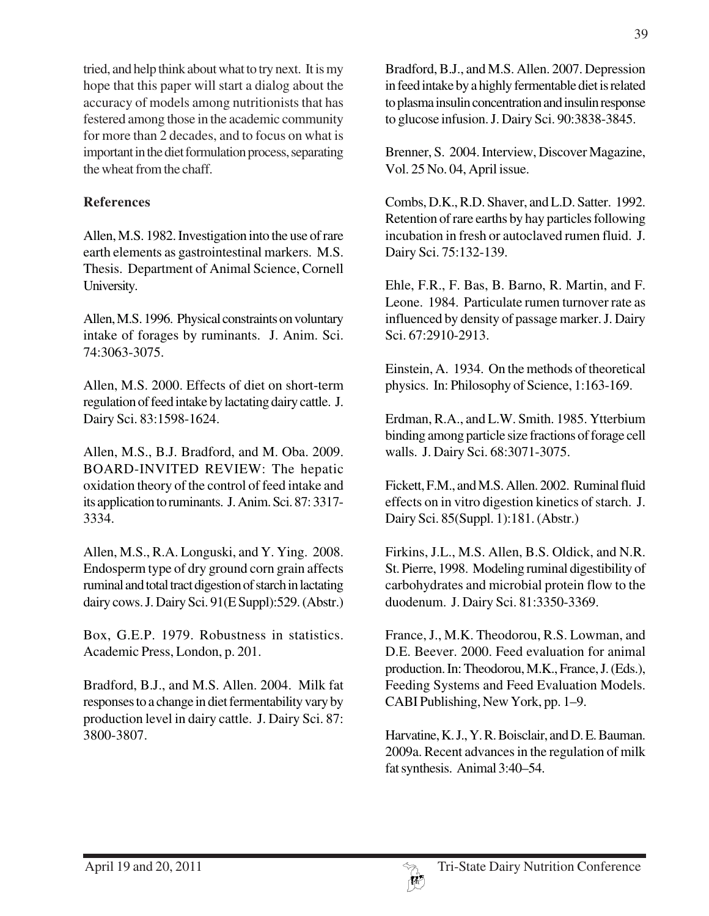tried, and help think about what to try next. It is my hope that this paper will start a dialog about the accuracy of models among nutritionists that has festered among those in the academic community for more than 2 decades, and to focus on what is important in the diet formulation process, separating the wheat from the chaff.

### **References**

Allen, M.S. 1982. Investigation into the use of rare earth elements as gastrointestinal markers. M.S. Thesis. Department of Animal Science, Cornell University.

Allen, M.S. 1996. Physical constraints on voluntary intake of forages by ruminants. J. Anim. Sci. 74:3063-3075.

Allen, M.S. 2000. Effects of diet on short-term regulation of feed intake by lactating dairy cattle. J. Dairy Sci. 83:1598-1624.

Allen, M.S., B.J. Bradford, and M. Oba. 2009. BOARD-INVITED REVIEW: The hepatic oxidation theory of the control of feed intake and its application to ruminants. J. Anim. Sci. 87: 3317- 3334.

Allen, M.S., R.A. Longuski, and Y. Ying. 2008. Endosperm type of dry ground corn grain affects ruminal and total tract digestion of starch in lactating dairy cows. J. Dairy Sci. 91(E Suppl):529. (Abstr.)

Box, G.E.P. 1979. Robustness in statistics. Academic Press, London, p. 201.

Bradford, B.J., and M.S. Allen. 2004. Milk fat responses to a change in diet fermentability vary by production level in dairy cattle. J. Dairy Sci. 87: 3800-3807.

Bradford, B.J., and M.S. Allen. 2007. Depression in feed intake by a highly fermentable diet is related to plasma insulin concentration and insulin response to glucose infusion. J. Dairy Sci. 90:3838-3845.

Brenner, S. 2004. Interview, Discover Magazine, Vol. 25 No. 04, April issue.

Combs, D.K., R.D. Shaver, and L.D. Satter. 1992. Retention of rare earths by hay particles following incubation in fresh or autoclaved rumen fluid. J. Dairy Sci. 75:132-139.

Ehle, F.R., F. Bas, B. Barno, R. Martin, and F. Leone. 1984. Particulate rumen turnover rate as influenced by density of passage marker. J. Dairy Sci. 67:2910-2913.

Einstein, A. 1934. On the methods of theoretical physics. In: Philosophy of Science, 1:163-169.

Erdman, R.A., and L.W. Smith. 1985. Ytterbium binding among particle size fractions of forage cell walls. J. Dairy Sci. 68:3071-3075.

Fickett, F.M., and M.S. Allen. 2002. Ruminal fluid effects on in vitro digestion kinetics of starch. J. Dairy Sci. 85(Suppl. 1):181. (Abstr.)

Firkins, J.L., M.S. Allen, B.S. Oldick, and N.R. St. Pierre, 1998. Modeling ruminal digestibility of carbohydrates and microbial protein flow to the duodenum. J. Dairy Sci. 81:3350-3369.

France, J., M.K. Theodorou, R.S. Lowman, and D.E. Beever. 2000. Feed evaluation for animal production. In: Theodorou, M.K., France, J. (Eds.), Feeding Systems and Feed Evaluation Models. CABI Publishing, New York, pp. 1–9.

Harvatine, K. J., Y. R. Boisclair, and D. E. Bauman. 2009a. Recent advances in the regulation of milk fat synthesis. Animal 3:40–54.

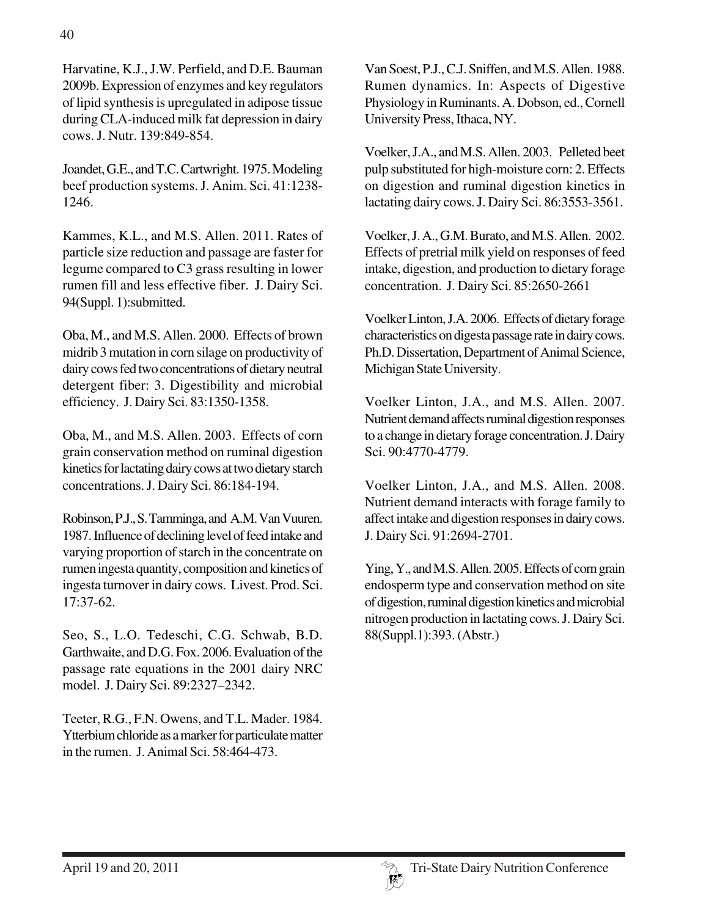Harvatine, K.J., J.W. Perfield, and D.E. Bauman 2009b. Expression of enzymes and key regulators of lipid synthesis is upregulated in adipose tissue during CLA-induced milk fat depression in dairy cows. J. Nutr. 139:849-854.

Joandet, G.E., and T.C. Cartwright. 1975. Modeling beef production systems. J. Anim. Sci. 41:1238- 1246.

Kammes, K.L., and M.S. Allen. 2011. Rates of particle size reduction and passage are faster for legume compared to C3 grass resulting in lower rumen fill and less effective fiber. J. Dairy Sci. 94(Suppl. 1):submitted.

Oba, M., and M.S. Allen. 2000. Effects of brown midrib 3 mutation in corn silage on productivity of dairy cows fed two concentrations of dietary neutral detergent fiber: 3. Digestibility and microbial efficiency. J. Dairy Sci. 83:1350-1358.

Oba, M., and M.S. Allen. 2003. Effects of corn grain conservation method on ruminal digestion kinetics for lactating dairy cows at two dietary starch concentrations. J. Dairy Sci. 86:184-194.

Robinson, P.J., S. Tamminga, and A.M. Van Vuuren. 1987. Influence of declining level of feed intake and varying proportion of starch in the concentrate on rumen ingesta quantity, composition and kinetics of ingesta turnover in dairy cows. Livest. Prod. Sci. 17:37-62.

Seo, S., L.O. Tedeschi, C.G. Schwab, B.D. Garthwaite, and D.G. Fox. 2006. Evaluation of the passage rate equations in the 2001 dairy NRC model. J. Dairy Sci. 89:2327–2342.

Teeter, R.G., F.N. Owens, and T.L. Mader. 1984. Ytterbium chloride as a marker for particulate matter in the rumen. J. Animal Sci. 58:464-473.

Van Soest, P.J., C.J. Sniffen, and M.S. Allen. 1988. Rumen dynamics. In: Aspects of Digestive Physiology in Ruminants. A. Dobson, ed., Cornell University Press, Ithaca, NY.

Voelker, J.A., and M.S. Allen. 2003. Pelleted beet pulp substituted for high-moisture corn: 2. Effects on digestion and ruminal digestion kinetics in lactating dairy cows. J. Dairy Sci. 86:3553-3561.

Voelker, J. A., G.M. Burato, and M.S. Allen. 2002. Effects of pretrial milk yield on responses of feed intake, digestion, and production to dietary forage concentration. J. Dairy Sci. 85:2650-2661

Voelker Linton, J.A. 2006. Effects of dietary forage characteristics on digesta passage rate in dairy cows. Ph.D. Dissertation, Department of Animal Science, Michigan State University.

Voelker Linton, J.A., and M.S. Allen. 2007. Nutrient demand affects ruminal digestion responses to a change in dietary forage concentration. J. Dairy Sci. 90:4770-4779.

Voelker Linton, J.A., and M.S. Allen. 2008. Nutrient demand interacts with forage family to affect intake and digestion responses in dairy cows. J. Dairy Sci. 91:2694-2701.

Ying, Y., and M.S. Allen. 2005. Effects of corn grain endosperm type and conservation method on site of digestion, ruminal digestion kinetics and microbial nitrogen production in lactating cows. J. Dairy Sci. 88(Suppl.1):393. (Abstr.)

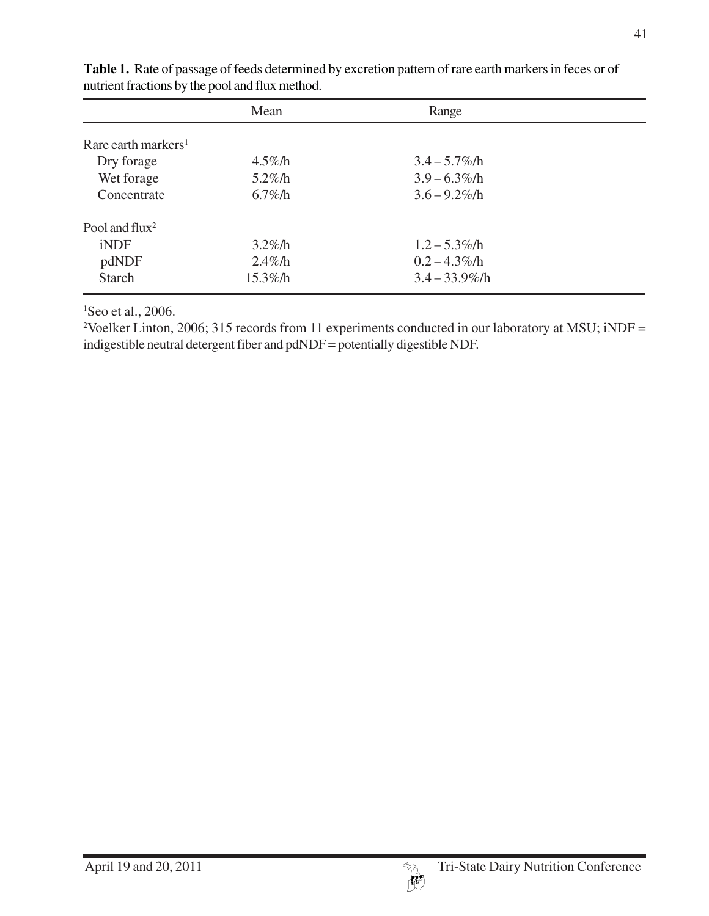|                                 | Mean        | Range             |  |
|---------------------------------|-------------|-------------------|--|
| Rare earth markers <sup>1</sup> |             |                   |  |
|                                 |             |                   |  |
| Dry forage                      | $4.5\%$ /h  | $3.4 - 5.7\%$ /h  |  |
| Wet forage                      | $5.2\%$ /h  | $3.9 - 6.3\%$ /h  |  |
| Concentrate                     | $6.7\%$ /h  | $3.6 - 9.2\%$ /h  |  |
| Pool and flux <sup>2</sup>      |             |                   |  |
| iNDF                            | $3.2\%$ /h  | $1.2 - 5.3\%$ /h  |  |
| pdNDF                           | $2.4\%$ /h  | $0.2 - 4.3\%$ /h  |  |
| <b>Starch</b>                   | $15.3\%$ /h | $3.4 - 33.9\%$ /h |  |

**Table 1.** Rate of passage of feeds determined by excretion pattern of rare earth markers in feces or of nutrient fractions by the pool and flux method.

1 Seo et al., 2006.

<sup>2</sup>Voelker Linton, 2006; 315 records from 11 experiments conducted in our laboratory at MSU; iNDF = indigestible neutral detergent fiber and pdNDF = potentially digestible NDF.

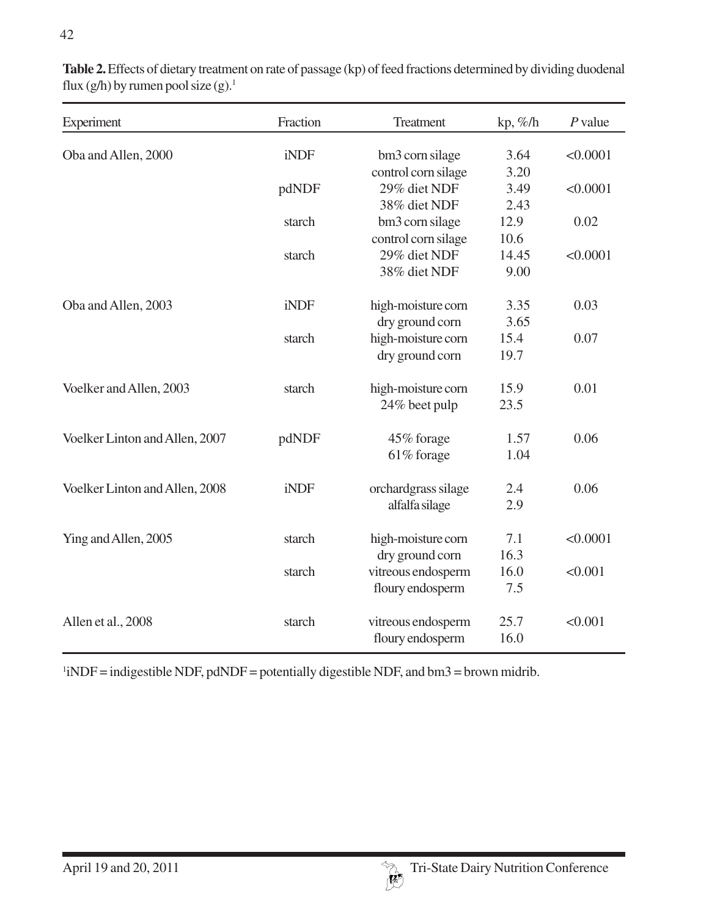| Experiment                     | Fraction | Treatment           | $kp, \%/h$ | $P$ value |
|--------------------------------|----------|---------------------|------------|-----------|
| Oba and Allen, 2000            | iNDF     | bm3 corn silage     | 3.64       | < 0.0001  |
|                                |          | control corn silage | 3.20       |           |
|                                | pdNDF    | 29% diet NDF        | 3.49       | < 0.0001  |
|                                |          | 38% diet NDF        | 2.43       |           |
|                                | starch   | bm3 corn silage     | 12.9       | 0.02      |
|                                |          | control corn silage | 10.6       |           |
|                                | starch   | 29% diet NDF        | 14.45      | < 0.0001  |
|                                |          | 38% diet NDF        | 9.00       |           |
| Oba and Allen, 2003            | iNDF     | high-moisture corn  | 3.35       | 0.03      |
|                                |          | dry ground corn     | 3.65       |           |
|                                | starch   | high-moisture corn  | 15.4       | 0.07      |
|                                |          | dry ground corn     | 19.7       |           |
| Voelker and Allen, 2003        | starch   | high-moisture corn  | 15.9       | 0.01      |
|                                |          | 24% beet pulp       | 23.5       |           |
| Voelker Linton and Allen, 2007 | pdNDF    | 45% forage          | 1.57       | 0.06      |
|                                |          | 61% forage          | 1.04       |           |
| Voelker Linton and Allen, 2008 | iNDF     | orchardgrass silage | 2.4        | 0.06      |
|                                |          | alfalfa silage      | 2.9        |           |
| Ying and Allen, 2005           | starch   | high-moisture corn  | 7.1        | < 0.0001  |
|                                |          | dry ground corn     | 16.3       |           |
|                                | starch   | vitreous endosperm  | 16.0       | < 0.001   |
|                                |          | floury endosperm    | 7.5        |           |
| Allen et al., 2008             | starch   | vitreous endosperm  | 25.7       | < 0.001   |
|                                |          | floury endosperm    | 16.0       |           |

**Table 2.** Effects of dietary treatment on rate of passage (kp) of feed fractions determined by dividing duodenal flux (g/h) by rumen pool size (g).<sup>1</sup>

 $1$ iNDF = indigestible NDF, pdNDF = potentially digestible NDF, and bm3 = brown midrib.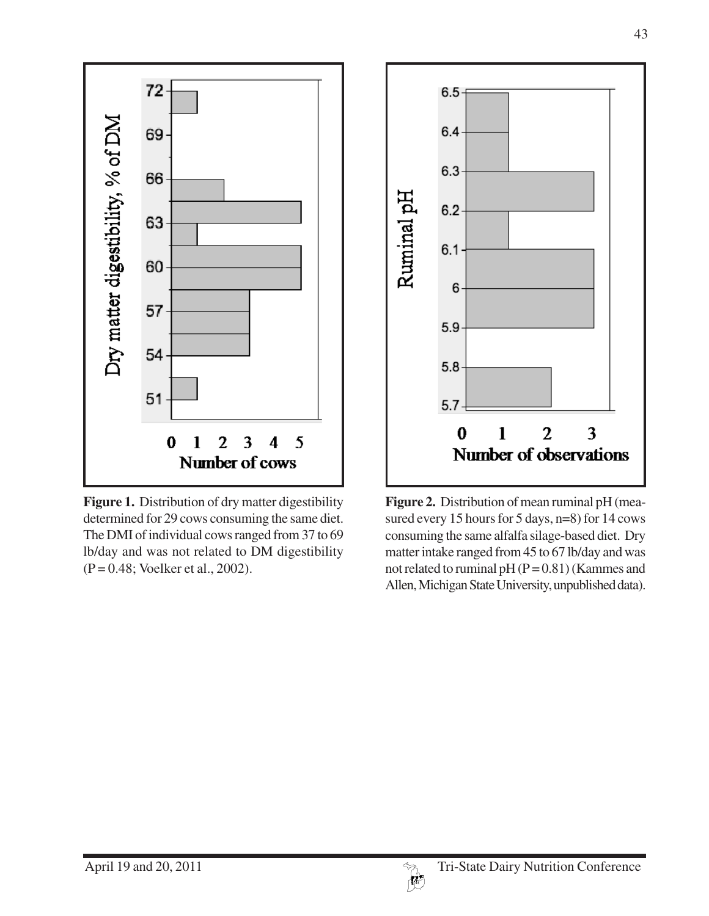

Figure 1. Distribution of dry matter digestibility determined for 29 cows consuming the same diet. The DMI of individual cows ranged from 37 to 69 lb/day and was not related to DM digestibility (P = 0.48; Voelker et al., 2002).



**Figure 2.** Distribution of mean ruminal pH (measured every 15 hours for 5 days, n=8) for 14 cows consuming the same alfalfa silage-based diet. Dry matter intake ranged from 45 to 67 lb/day and was not related to ruminal pH  $(P = 0.81)$  (Kammes and Allen, Michigan State University, unpublished data).